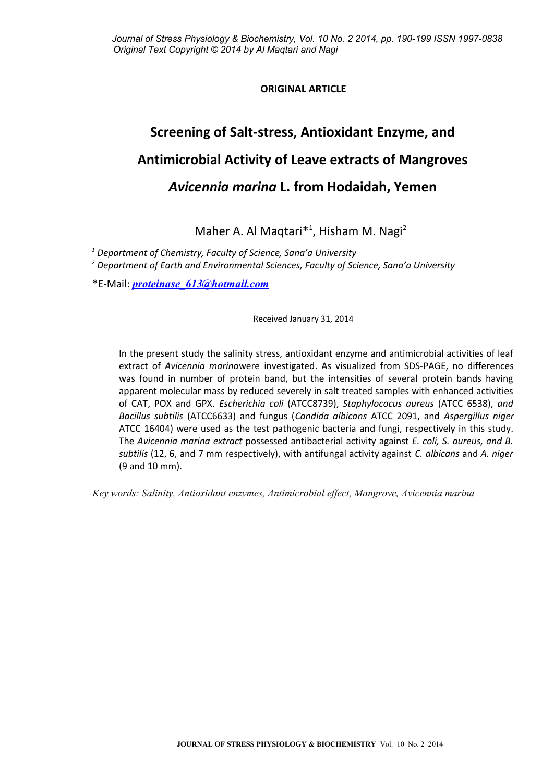# **ORIGINAL ARTICLE**

# **Screening of Salt-stress, Antioxidant Enzyme, and Antimicrobial Activity of Leave extracts of Mangroves** *Avicennia marina* **L. from Hodaidah, Yemen**

Maher A. Al Maqtari<sup>\*1</sup>, Hisham M. Nagi<sup>2</sup>

*1 Department of Chemistry, Faculty of Science, Sana'a University*

*2 Department of Earth and Environmental Sciences, Faculty of Science, Sana'a University*

\*E-Mail: *[proteinase\\_613@hotmail.com](mailto:proteinase_613@hotmail.com)*

Received January 31, 2014

In the present study the salinity stress, antioxidant enzyme and antimicrobial activities of leaf extract of *Avicennia marina*were investigated. As visualized from SDS-PAGE, no differences was found in number of protein band, but the intensities of several protein bands having apparent molecular mass by reduced severely in salt treated samples with enhanced activities of CAT, POX and GPX. *Escherichia coli* (ATCC8739), *Staphylococus aureus* (ATCC 6538), *and Bacillus subtilis* (ATCC6633) and fungus (*Candida albicans* ATCC 2091, and *Aspergillus niger* ATCC 16404) were used as the test pathogenic bacteria and fungi, respectively in this study. The *Avicennia marina extract* possessed antibacterial activity against *E. coli, S. aureus, and B. subtilis* (12, 6, and 7 mm respectively), with antifungal activity against *C. albicans* and *A. niger* (9 and 10 mm).

*Key words: Salinity, Antioxidant enzymes, Antimicrobial effect, Mangrove, Avicennia marina*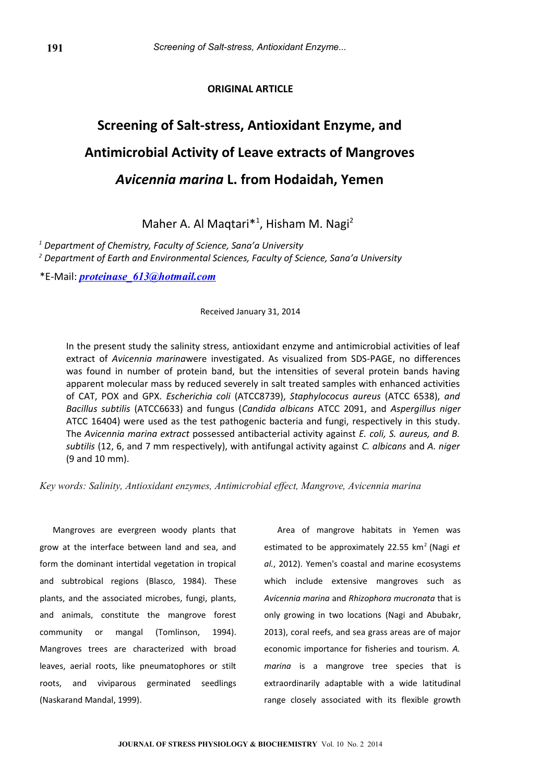# **ORIGINAL ARTICLE**

# **Screening of Salt-stress, Antioxidant Enzyme, and Antimicrobial Activity of Leave extracts of Mangroves** *Avicennia marina* **L. from Hodaidah, Yemen**

Maher A. Al Maqtari<sup>\*1</sup>, Hisham M. Nagi<sup>2</sup>

*1 Department of Chemistry, Faculty of Science, Sana'a University*

*2 Department of Earth and Environmental Sciences, Faculty of Science, Sana'a University*

\*E-Mail: *[proteinase\\_613@hotmail.com](mailto:proteinase_613@hotmail.com)*

Received January 31, 2014

In the present study the salinity stress, antioxidant enzyme and antimicrobial activities of leaf extract of *Avicennia marina*were investigated. As visualized from SDS-PAGE, no differences was found in number of protein band, but the intensities of several protein bands having apparent molecular mass by reduced severely in salt treated samples with enhanced activities of CAT, POX and GPX. *Escherichia coli* (ATCC8739), *Staphylococus aureus* (ATCC 6538), *and Bacillus subtilis* (ATCC6633) and fungus (*Candida albicans* ATCC 2091, and *Aspergillus niger* ATCC 16404) were used as the test pathogenic bacteria and fungi, respectively in this study. The *Avicennia marina extract* possessed antibacterial activity against *E. coli, S. aureus, and B. subtilis* (12, 6, and 7 mm respectively), with antifungal activity against *C. albicans* and *A. niger* (9 and 10 mm).

*Key words: Salinity, Antioxidant enzymes, Antimicrobial effect, Mangrove, Avicennia marina*

Mangroves are evergreen woody plants that grow at the interface between land and sea, and form the dominant intertidal vegetation in tropical and subtrobical regions (Blasco, 1984). These plants, and the associated microbes, fungi, plants, and animals, constitute the mangrove forest community or mangal (Tomlinson, 1994). Mangroves trees are characterized with broad leaves, aerial roots, like pneumatophores or stilt roots, and viviparous germinated seedlings (Naskarand Mandal, 1999).

Area of mangrove habitats in Yemen was estimated to be approximately 22.55 km<sup>2</sup> (Nagi *et*) *al.*, 2012). Yemen's coastal and marine ecosystems which include extensive mangroves such as *Avicennia marina* and *Rhizophora mucronata* that is only growing in two locations (Nagi and Abubakr, 2013), coral reefs, and sea grass areas are of major economic importance for fisheries and tourism. *A. marina* is a mangrove tree species that is extraordinarily adaptable with a wide latitudinal range closely associated with its flexible growth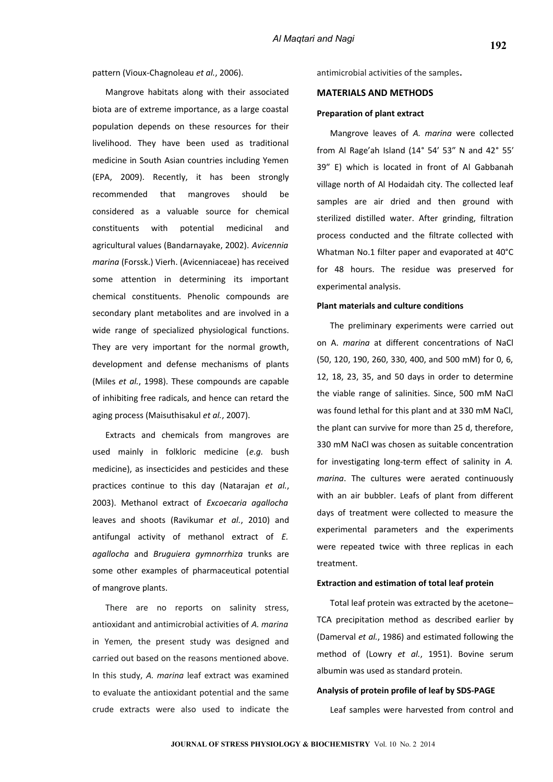Mangrove habitats along with their associated biota are of extreme importance, as a large coastal population depends on these resources for their livelihood. They have been used as traditional medicine in South Asian countries including Yemen (EPA, 2009). Recently, it has been strongly recommended that mangroves should be considered as a valuable source for chemical constituents with potential medicinal and agricultural values (Bandarnayake, 2002). *Avicennia marina* (Forssk.) Vierh. (Avicenniaceae) has received some attention in determining its important chemical constituents. Phenolic compounds are secondary plant metabolites and are involved in a wide range of specialized physiological functions. They are very important for the normal growth, development and defense mechanisms of plants (Miles *et al.*, 1998). These compounds are capable of inhibiting free radicals, and hence can retard the aging process (Maisuthisakul *et al.*, 2007).

Extracts and chemicals from mangroves are used mainly in folkloric medicine (*e.g.* bush medicine), as insecticides and pesticides and these practices continue to this day (Natarajan *et al.*, 2003). Methanol extract of *Excoecaria agallocha* leaves and shoots (Ravikumar *et al.*, 2010) and antifungal activity of methanol extract of *E. agallocha* and *Bruguiera gymnorrhiza* trunks are some other examples of pharmaceutical potential of mangrove plants.

There are no reports on salinity stress, antioxidant and antimicrobial activities of *A. marina* in Yemen*,* the present study was designed and carried out based on the reasons mentioned above. In this study, *A. marina* leaf extract was examined to evaluate the antioxidant potential and the same crude extracts were also used to indicate the antimicrobial activities of the samples**.**

#### **MATERIALS AND METHODS**

#### **Preparation of plant extract**

Mangrove leaves of *A. marina* were collected from Al Rage'ah Island (14° 54′ 53″ N and 42° 55′ 39″ E) which is located in front of Al Gabbanah village north of Al Hodaidah city. The collected leaf samples are air dried and then ground with sterilized distilled water. After grinding, filtration process conducted and the filtrate collected with Whatman No.1 filter paper and evaporated at 40°C for 48 hours. The residue was preserved for experimental analysis.

#### **Plant materials and culture conditions**

The preliminary experiments were carried out on A. *marina* at different concentrations of NaCl (50, 120, 190, 260, 330, 400, and 500 mM) for 0, 6, 12, 18, 23, 35, and 50 days in order to determine the viable range of salinities. Since, 500 mM NaCl was found lethal for this plant and at 330 mM NaCl, the plant can survive for more than 25 d, therefore, 330 mM NaCl was chosen as suitable concentration for investigating long-term effect of salinity in *A. marina*. The cultures were aerated continuously with an air bubbler. Leafs of plant from different days of treatment were collected to measure the experimental parameters and the experiments were repeated twice with three replicas in each treatment.

## **Extraction and estimation of total leaf protein**

Total leaf protein was extracted by the acetone– TCA precipitation method as described earlier by (Damerval *et al.*, 1986) and estimated following the method of (Lowry *et al.*, 1951). Bovine serum albumin was used as standard protein.

#### **Analysis of protein profile of leaf by SDS-PAGE**

Leaf samples were harvested from control and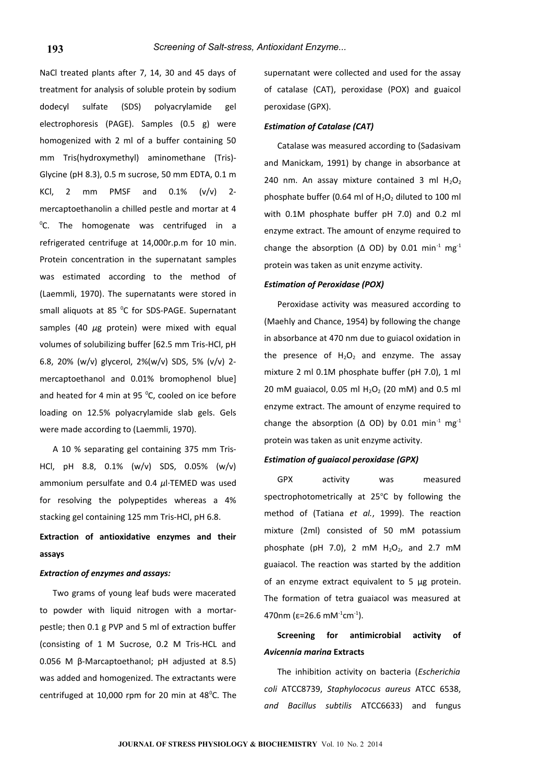NaCl treated plants after 7, 14, 30 and 45 days of treatment for analysis of soluble protein by sodium dodecyl sulfate (SDS) polyacrylamide gel electrophoresis (PAGE). Samples (0.5 g) were homogenized with 2 ml of a buffer containing 50 mm Tris(hydroxymethyl) aminomethane (Tris)- Glycine (pH 8.3), 0.5 m sucrose, 50 mm EDTA, 0.1 m KCl, 2 mm PMSF and  $0.1\%$  (v/v) 2mercaptoethanolin a chilled pestle and mortar at 4 <sup>o</sup>C. The homogenate was centrifuged in a refrigerated centrifuge at 14,000r.p.m for 10 min. Protein concentration in the supernatant samples was estimated according to the method of (Laemmli, 1970). The supernatants were stored in small aliquots at 85 °C for SDS-PAGE. Supernatant samples (40 *μ*g protein) were mixed with equal volumes of solubilizing buffer [62.5 mm Tris-HCl, pH 6.8, 20% (w/v) glycerol, 2%(w/v) SDS, 5% (v/v) 2 mercaptoethanol and 0.01% bromophenol blue] and heated for 4 min at 95 $\degree$ C, cooled on ice before loading on 12.5% polyacrylamide slab gels. Gels were made according to (Laemmli, 1970).

A 10 % separating gel containing 375 mm Tris-HCl, pH 8.8, 0.1% (w/v) SDS, 0.05% (w/v) ammonium persulfate and 0.4 *μ*l·TEMED was used for resolving the polypeptides whereas a 4% stacking gel containing 125 mm Tris-HCl, pH 6.8.

# **Extraction of antioxidative enzymes and their assays**

# *Extraction of enzymes and assays:*

Two grams of young leaf buds were macerated to powder with liquid nitrogen with a mortarpestle; then 0.1 g PVP and 5 ml of extraction buffer (consisting of 1 M Sucrose, 0.2 M Tris-HCL and 0.056 M β-Marcaptoethanol; pH adjusted at 8.5) was added and homogenized. The extractants were centrifuged at 10,000 rpm for 20 min at  $48^{\circ}$ C. The

supernatant were collected and used for the assay of catalase (CAT), peroxidase (POX) and guaicol peroxidase (GPX).

#### *Estimation of Catalase (CAT)*

Catalase was measured according to (Sadasivam and Manickam, 1991) by change in absorbance at 240 nm. An assay mixture contained 3 ml  $H_2O_2$ phosphate buffer (0.64 ml of  $H_2O_2$  diluted to 100 ml with 0.1M phosphate buffer pH 7.0) and 0.2 ml enzyme extract. The amount of enzyme required to change the absorption ( $\Delta$  OD) by 0.01 min<sup>-1</sup> mg<sup>-1</sup> protein was taken as unit enzyme activity.

## *Estimation of Peroxidase (POX)*

Peroxidase activity was measured according to (Maehly and Chance, 1954) by following the change in absorbance at 470 nm due to guiacol oxidation in the presence of  $H_2O_2$  and enzyme. The assay mixture 2 ml 0.1M phosphate buffer (pH 7.0), 1 ml 20 mM guaiacol, 0.05 ml  $H_2O_2$  (20 mM) and 0.5 ml enzyme extract. The amount of enzyme required to change the absorption ( $\Delta$  OD) by 0.01 min<sup>-1</sup> mg<sup>-1</sup> protein was taken as unit enzyme activity.

#### *Estimation of guaiacol peroxidase (GPX)*

GPX activity was measured spectrophotometrically at 25°C by following the method of (Tatiana *et al.*, 1999). The reaction mixture (2ml) consisted of 50 mM potassium phosphate (pH 7.0), 2 mM  $H_2O_2$ , and 2.7 mM guaiacol. The reaction was started by the addition of an enzyme extract equivalent to 5 μg protein. The formation of tetra guaiacol was measured at 470nm ( $\varepsilon$ =26.6 mM<sup>-1</sup>cm<sup>-1</sup>).

# **Screening for antimicrobial activity of** *Avicennia marina* **Extracts**

The inhibition activity on bacteria (*Escherichia coli* ATCC8739, *Staphylococus aureus* ATCC 6538, *and Bacillus subtilis* ATCC6633) and fungus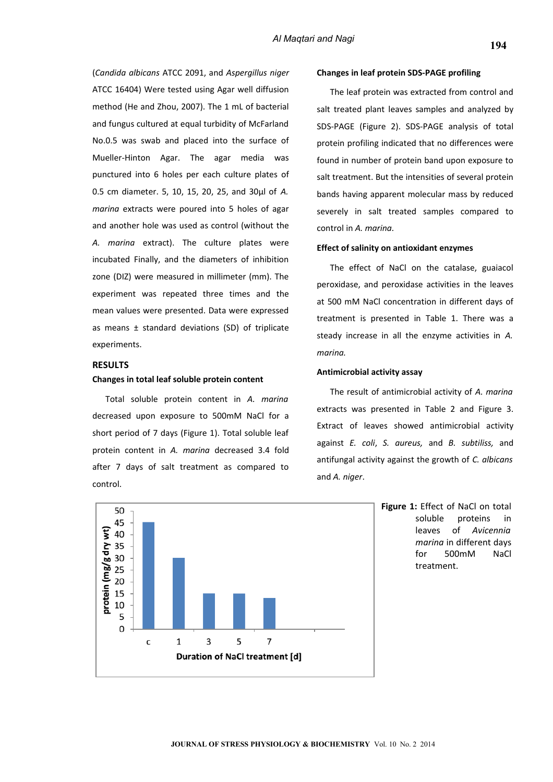(*Candida albicans* ATCC 2091, and *Aspergillus niger* ATCC 16404) Were tested using Agar well diffusion method (He and Zhou, 2007). The 1 mL of bacterial and fungus cultured at equal turbidity of McFarland No.0.5 was swab and placed into the surface of Mueller-Hinton Agar. The agar media was punctured into 6 holes per each culture plates of 0.5 cm diameter. 5, 10, 15, 20, 25, and 30µl of *A. marina* extracts were poured into 5 holes of agar and another hole was used as control (without the *A. marina* extract). The culture plates were incubated Finally, and the diameters of inhibition zone (DIZ) were measured in millimeter (mm). The experiment was repeated three times and the mean values were presented. Data were expressed as means ± standard deviations (SD) of triplicate experiments.

# **RESULTS**

## **Changes in total leaf soluble protein content**

Total soluble protein content in *A. marina* decreased upon exposure to 500mM NaCl for a short period of 7 days (Figure 1). Total soluble leaf protein content in *A. marina* decreased 3.4 fold after 7 days of salt treatment as compared to control.

#### **Changes in leaf protein SDS-PAGE profiling**

The leaf protein was extracted from control and salt treated plant leaves samples and analyzed by SDS-PAGE (Figure 2). SDS-PAGE analysis of total protein profiling indicated that no differences were found in number of protein band upon exposure to salt treatment. But the intensities of several protein bands having apparent molecular mass by reduced severely in salt treated samples compared to control in *A. marina.*

# **Effect of salinity on antioxidant enzymes**

The effect of NaCl on the catalase, guaiacol peroxidase, and peroxidase activities in the leaves at 500 mM NaCl concentration in different days of treatment is presented in Table 1. There was a steady increase in all the enzyme activities in *A. marina.*

## **Antimicrobial activity assay**

The result of antimicrobial activity of *A. marina* extracts was presented in Table 2 and Figure 3. Extract of leaves showed antimicrobial activity against *E. coli*, *S. aureus,* and *B. subtiliss,* and antifungal activity against the growth of *C. albicans* and *A. niger*.



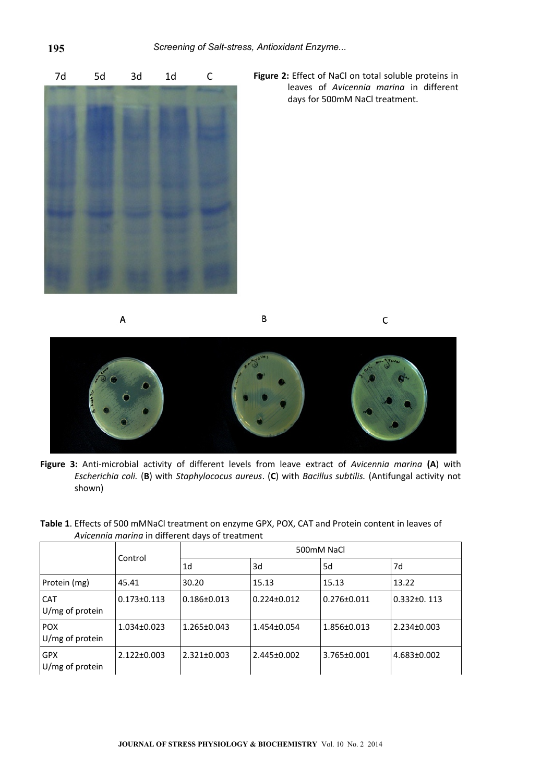

 7d 5d 3d 1d C **Figure 2:** Effect of NaCl on total soluble proteins in leaves of *Avicennia marina* in different days for 500mM NaCl treatment.

A







B

**Figure 3:** Anti-microbial activity of different levels from leave extract of *Avicennia marina* **(A**) with *Escherichia coli.* (**B**) with *Staphylococus aureus*. (**C**) with *Bacillus subtilis.* (Antifungal activity not shown)

| Table 1. Effects of 500 mMNaCl treatment on enzyme GPX, POX, CAT and Protein content in leaves of |  |  |
|---------------------------------------------------------------------------------------------------|--|--|
| Avicennia marina in different days of treatment                                                   |  |  |

|                                 | Control           | 500mM NaCl        |                   |                   |                   |  |
|---------------------------------|-------------------|-------------------|-------------------|-------------------|-------------------|--|
|                                 |                   | 1d                | 3d                | 5d                | 7d                |  |
| Protein (mg)                    | 45.41             | 30.20             | 15.13             | 15.13             | 13.22             |  |
| <b>CAT</b><br>U/mg of protein   | $0.173 \pm 0.113$ | $0.186 \pm 0.013$ | $0.224 \pm 0.012$ | $0.276 \pm 0.011$ | $0.332\pm0.113$   |  |
| <b>POX</b><br>$U/mg$ of protein | $1.034\pm0.023$   | $1.265 \pm 0.043$ | $1.454\pm0.054$   | $1.856 \pm 0.013$ | $2.234 \pm 0.003$ |  |
| <b>GPX</b><br>U/mg of protein   | $2.122 \pm 0.003$ | $2.321 \pm 0.003$ | $2.445 \pm 0.002$ | $3.765 \pm 0.001$ | $4.683 \pm 0.002$ |  |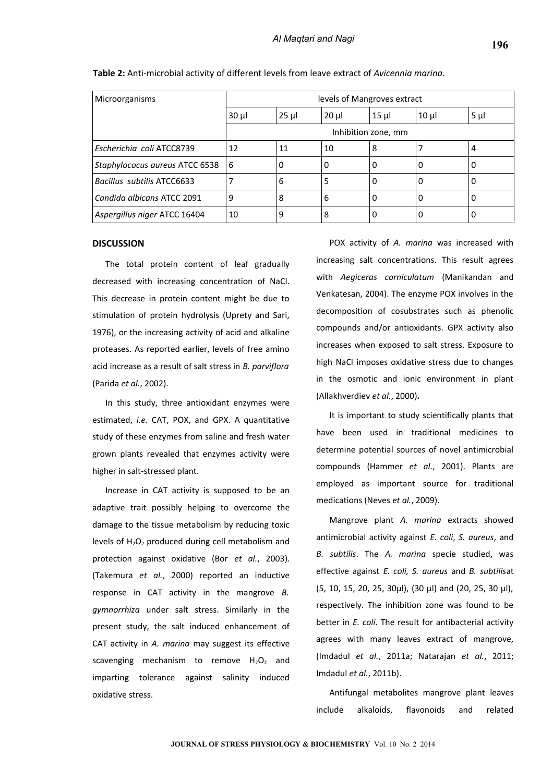| <b>Microorganisms</b>             | levels of Mangroves extract |          |          |          |          |         |
|-----------------------------------|-----------------------------|----------|----------|----------|----------|---------|
|                                   | $30 \mu$                    | $25 \mu$ | $20 \mu$ | $15 \mu$ | $10 \mu$ | $5 \mu$ |
|                                   | Inhibition zone, mm         |          |          |          |          |         |
| Escherichia coli ATCC8739         | 12                          | 11       | 10       | 8        |          | 4       |
| Staphylococus aureus ATCC 6538    | 6                           | 0        | 0        | 0        | 0        | 0       |
| <b>Bacillus subtilis ATCC6633</b> |                             | 6        | 5        | 0        | 0        | υ       |
| Candida albicans ATCC 2091        | 9                           | 8        | 6        | 0        | 0        |         |
| Aspergillus niger ATCC 16404      | 10                          | 9        | 8        | 0        | 0        |         |

#### **Table 2:** Anti-microbial activity of different levels from leave extract of *Avicennia marina*.

### **DISCUSSION**

The total protein content of leaf gradually decreased with increasing concentration of NaCl. This decrease in protein content might be due to stimulation of protein hydrolysis (Uprety and Sari, 1976), or the increasing activity of acid and alkaline proteases. As reported earlier, levels of free amino acid increase as a result of salt stress in *B. parviflora* (Parida *et al.*, 2002).

In this study, three antioxidant enzymes were estimated, *i.e.* CAT, POX, and GPX. A quantitative study of these enzymes from saline and fresh water grown plants revealed that enzymes activity were higher in salt-stressed plant.

Increase in CAT activity is supposed to be an adaptive trait possibly helping to overcome the damage to the tissue metabolism by reducing toxic levels of  $H_2O_2$  produced during cell metabolism and protection against oxidative (Bor *et al.*, 2003). (Takemura *et al.*, 2000) reported an inductive response in CAT activity in the mangrove *B. gymnorrhiza* under salt stress. Similarly in the present study, the salt induced enhancement of CAT activity in *A. marina* may suggest its effective scavenging mechanism to remove  $H_2O_2$  and imparting tolerance against salinity induced oxidative stress.

POX activity of *A. marina* was increased with increasing salt concentrations. This result agrees with *Aegiceras corniculatum* (Manikandan and Venkatesan, 2004). The enzyme POX involves in the decomposition of cosubstrates such as phenolic compounds and/or antioxidants. GPX activity also increases when exposed to salt stress. Exposure to high NaCl imposes oxidative stress due to changes in the osmotic and ionic environment in plant (Allakhverdiev *et al.*, 2000)**.**

It is important to study scientifically plants that have been used in traditional medicines to determine potential sources of novel antimicrobial compounds (Hammer *et al.*, 2001). Plants are employed as important source for traditional medications (Neves *et al.*, 2009).

Mangrove plant *A. marina* extracts showed antimicrobial activity against *E. coli*, *S. aureus*, and *B. subtilis*. The *A. marina* specie studied, was effective against *E. coli, S. aureus* and *B. subtilis*at (5, 10, 15, 20, 25, 30µl), (30 µl) and (20, 25, 30 µl), respectively. The inhibition zone was found to be better in *E. coli*. The result for antibacterial activity agrees with many leaves extract of mangrove, (Imdadul *et al.*, 2011a; Natarajan *et al.*, 2011; Imdadul *et al.*, 2011b).

Antifungal metabolites mangrove plant leaves include alkaloids, flavonoids and related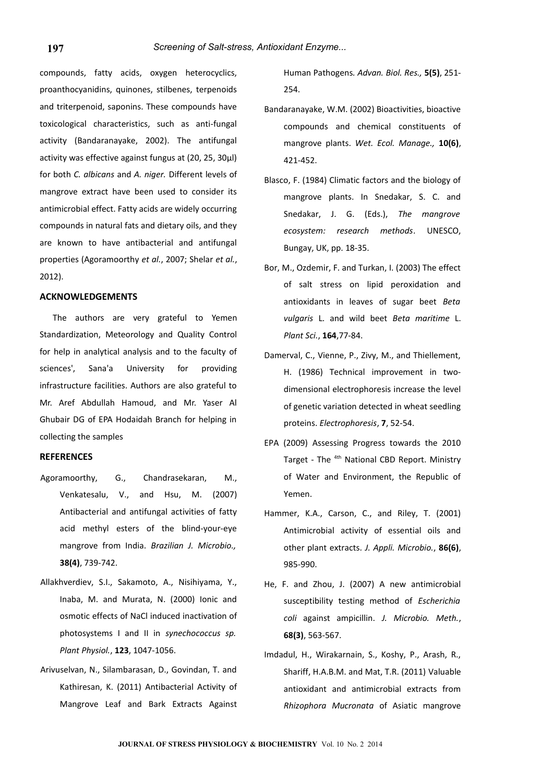compounds, fatty acids, oxygen heterocyclics, proanthocyanidins, quinones, stilbenes, terpenoids and triterpenoid, saponins. These compounds have toxicological characteristics, such as anti-fungal activity (Bandaranayake, 2002). The antifungal activity was effective against fungus at (20, 25, 30µl) for both *C. albicans* and *A. niger.* Different levels of mangrove extract have been used to consider its antimicrobial effect. Fatty acids are widely occurring compounds in natural fats and dietary oils, and they are known to have antibacterial and antifungal properties (Agoramoorthy *et al.*, 2007; Shelar *et al.*, 2012).

#### **ACKNOWLEDGEMENTS**

The authors are very grateful to Yemen Standardization, Meteorology and Quality Control for help in analytical analysis and to the faculty of sciences', Sana'a University for providing infrastructure facilities. Authors are also grateful to Mr. Aref Abdullah Hamoud, and Mr. Yaser Al Ghubair DG of EPA Hodaidah Branch for helping in collecting the samples

# **REFERENCES**

- Agoramoorthy, G., Chandrasekaran, M., Venkatesalu, V., and Hsu, M. (2007) Antibacterial and antifungal activities of fatty acid methyl esters of the blind-your-eye mangrove from India. *Brazilian J. Microbio.,* **38(4)**, 739-742.
- Allakhverdiev, S.I., Sakamoto, A., Nisihiyama, Y., Inaba, M. and Murata, N. (2000) Ionic and osmotic effects of NaCl induced inactivation of photosystems I and II in *synechococcus sp. Plant Physiol.*, **123**, 1047-1056.
- Arivuselvan, N., Silambarasan, D., Govindan, T. and Kathiresan, K. (2011) Antibacterial Activity of Mangrove Leaf and Bark Extracts Against

Human Pathogens*. Advan. Biol. Res.,* **5(5)**, 251- 254.

- Bandaranayake, W.M. (2002) Bioactivities, bioactive compounds and chemical constituents of mangrove plants. *Wet. Ecol. Manage.,* **10(6)**, 421-452.
- Blasco, F. (1984) Climatic factors and the biology of mangrove plants. In Snedakar, S. C. and Snedakar, J. G. (Eds.), *The mangrove ecosystem: research methods*. UNESCO, Bungay, UK, pp. 18-35.
- Bor, M., Ozdemir, F. and Turkan, I. (2003) The effect of salt stress on lipid peroxidation and antioxidants in leaves of sugar beet *Beta vulgaris* L. and wild beet *Beta maritime* L. *Plant Sci.*, **164**,77-84.
- Damerval, C., Vienne, P., Zivy, M., and Thiellement, H. (1986) Technical improvement in twodimensional electrophoresis increase the level of genetic variation detected in wheat seedling proteins. *Electrophoresis*, **7**, 52-54.
- EPA (2009) Assessing Progress towards the 2010 Target - The <sup>4th</sup> National CBD Report. Ministry of Water and Environment, the Republic of Yemen.
- Hammer, K.A., Carson, C., and Riley, T. (2001) Antimicrobial activity of essential oils and other plant extracts. *J. Appli. Microbio.*, **86(6)**, 985-990.
- He, F. and Zhou, J. (2007) A new antimicrobial susceptibility testing method of *Escherichia coli* against ampicillin. *J. Microbio. Meth.*, **68(3)**, 563-567.
- Imdadul, H., Wirakarnain, S., Koshy, P., Arash, R., Shariff, H.A.B.M. and Mat, T.R. (2011) Valuable antioxidant and antimicrobial extracts from *Rhizophora Mucronata* of Asiatic mangrove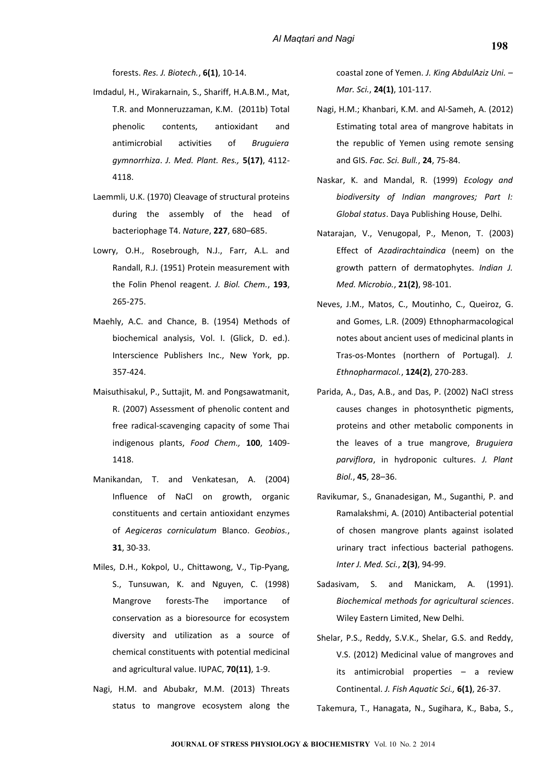forests. *Res. J. Biotech.*, **6(1)**, 10-14.

- Imdadul, H., Wirakarnain, S., Shariff, H.A.B.M., Mat, T.R. and Monneruzzaman, K.M. (2011b) Total phenolic contents, antioxidant and antimicrobial activities of *Bruguiera gymnorrhiza*. *J. Med. Plant. Res.,* **5(17)**, 4112- 4118.
- Laemmli, U.K. (1970) Cleavage of structural proteins during the assembly of the head of bacteriophage T4. *Nature*, **227**, 680–685.
- Lowry, O.H., Rosebrough, N.J., Farr, A.L. and Randall, R.J. (1951) Protein measurement with the Folin Phenol reagent*. J. Biol. Chem.*, **193**, 265-275.
- Maehly, A.C. and Chance, B. (1954) Methods of biochemical analysis, Vol. I. (Glick, D. ed.). Interscience Publishers Inc., New York, pp. 357-424.
- Maisuthisakul, P., Suttajit, M. and Pongsawatmanit, R. (2007) Assessment of phenolic content and free radical-scavenging capacity of some Thai indigenous plants, *Food Chem.,* **100**, 1409- 1418.
- Manikandan, T. and Venkatesan, A. (2004) Influence of NaCl on growth, organic constituents and certain antioxidant enzymes of *Aegiceras corniculatum* Blanco. *Geobios.*, **31**, 30-33.
- Miles, D.H., Kokpol, U., Chittawong, V., Tip-Pyang, S., Tunsuwan, K. and Nguyen, C. (1998) Mangrove forests-The importance of conservation as a bioresource for ecosystem diversity and utilization as a source of chemical constituents with potential medicinal and agricultural value. IUPAC, **70(11)**, 1-9.
- Nagi, H.M. and Abubakr, M.M. (2013) Threats status to mangrove ecosystem along the

coastal zone of Yemen. *J. King AbdulAziz Uni. – Mar. Sci.*, **24(1)**, 101-117.

- Nagi, H.M.; Khanbari, K.M. and Al-Sameh, A. (2012) Estimating total area of mangrove habitats in the republic of Yemen using remote sensing and GIS. *Fac. Sci. Bull.*, **24**, 75-84.
- Naskar, K. and Mandal, R. (1999) *Ecology and biodiversity of Indian mangroves; Part I: Global status*. Daya Publishing House, Delhi.
- Natarajan, V., Venugopal, P., Menon, T. (2003) Effect of *Azadirachtaindica* (neem) on the growth pattern of dermatophytes. *Indian J. Med. Microbio.*, **21(2)**, 98-101.
- Neves, J.M., Matos, C., Moutinho, C., Queiroz, G. and Gomes, L.R. (2009) Ethnopharmacological notes about ancient uses of medicinal plants in Tras-os-Montes (northern of Portugal). *J. Ethnopharmacol.*, **124(2)**, 270-283.
- Parida, A., Das, A.B., and Das, P. (2002) NaCl stress causes changes in photosynthetic pigments, proteins and other metabolic components in the leaves of a true mangrove, *Bruguiera parviflora*, in hydroponic cultures. *J. Plant Biol.*, **45**, 28–36.
- Ravikumar, S., Gnanadesigan, M., Suganthi, P. and Ramalakshmi, A. (2010) Antibacterial potential of chosen mangrove plants against isolated urinary tract infectious bacterial pathogens. *Inter J. Med. Sci.*, **2(3)**, 94-99.
- Sadasivam, S. and Manickam, A. (1991). *Biochemical methods for agricultural sciences*. Wiley Eastern Limited, New Delhi.
- Shelar, P.S., Reddy, S.V.K., Shelar, G.S. and Reddy, V.S. (2012) Medicinal value of mangroves and its antimicrobial properties – a review Continental. *J. Fish Aquatic Sci.,* **6(1)**, 26-37.

Takemura, T., Hanagata, N., Sugihara, K., Baba, S.,